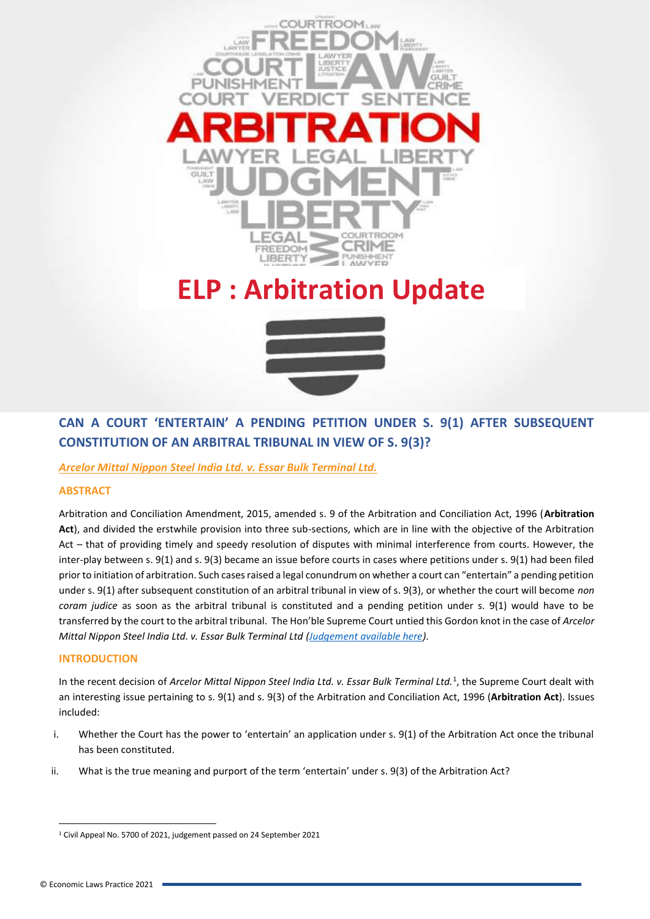

# **ELP : Arbitration Update**



## **CAN A COURT 'ENTERTAIN' A PENDING PETITION UNDER S. 9(1) AFTER SUBSEQUENT CONSTITUTION OF AN ARBITRAL TRIBUNAL IN VIEW OF S. 9(3)?**

### *Arcelor Mittal Nippon Steel India Ltd. v. Essar Bulk Terminal Ltd.*

#### **ABSTRACT**

Arbitration and Conciliation Amendment, 2015, amended s. 9 of the Arbitration and Conciliation Act, 1996 (**Arbitration Act**), and divided the erstwhile provision into three sub-sections, which are in line with the objective of the Arbitration Act – that of providing timely and speedy resolution of disputes with minimal interference from courts. However, the inter-play between s. 9(1) and s. 9(3) became an issue before courts in cases where petitions under s. 9(1) had been filed prior to initiation of arbitration. Such cases raised a legal conundrum on whether a court can "entertain" a pending petition under s. 9(1) after subsequent constitution of an arbitral tribunal in view of s. 9(3), or whether the court will become *non coram judice* as soon as the arbitral tribunal is constituted and a pending petition under s. 9(1) would have to be transferred by the court to the arbitral tribunal. The Hon'ble Supreme Court untied this Gordon knot in the case of *Arcelor Mittal Nippon Steel India Ltd. v. Essar Bulk Terminal Ltd [\(Judgement available here\)](https://www.dropbox.com/s/9yhw3m2yoizb9cg/Arcelor%20Mittal%20v.%20Essar%20Bulk%20-%20SC%20-%20s.%209.pdf?dl=0)*.

#### **INTRODUCTION**

In the recent decision of *Arcelor Mittal Nippon Steel India Ltd. v. Essar Bulk Terminal Ltd.*<sup>1</sup> , the Supreme Court dealt with an interesting issue pertaining to s. 9(1) and s. 9(3) of the Arbitration and Conciliation Act, 1996 (**Arbitration Act**). Issues included:

- i. Whether the Court has the power to 'entertain' an application under s. 9(1) of the Arbitration Act once the tribunal has been constituted.
- ii. What is the true meaning and purport of the term 'entertain' under s. 9(3) of the Arbitration Act?

<sup>1</sup> Civil Appeal No. 5700 of 2021, judgement passed on 24 September 2021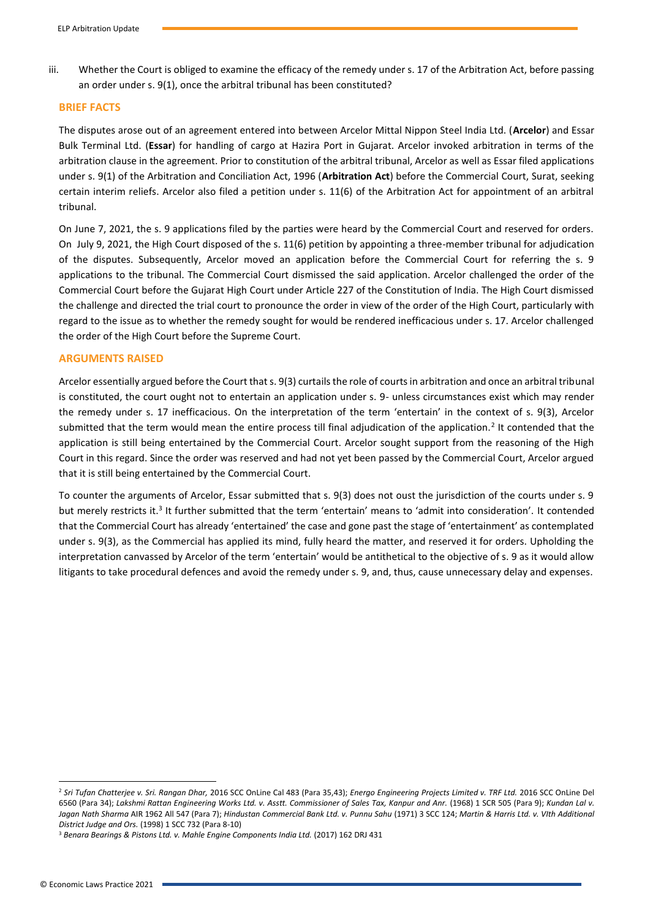iii. Whether the Court is obliged to examine the efficacy of the remedy under s. 17 of the Arbitration Act, before passing an order under s. 9(1), once the arbitral tribunal has been constituted?

#### **BRIEF FACTS**

The disputes arose out of an agreement entered into between Arcelor Mittal Nippon Steel India Ltd. (**Arcelor**) and Essar Bulk Terminal Ltd. (**Essar**) for handling of cargo at Hazira Port in Gujarat. Arcelor invoked arbitration in terms of the arbitration clause in the agreement. Prior to constitution of the arbitral tribunal, Arcelor as well as Essar filed applications under s. 9(1) of the Arbitration and Conciliation Act, 1996 (**Arbitration Act**) before the Commercial Court, Surat, seeking certain interim reliefs. Arcelor also filed a petition under s. 11(6) of the Arbitration Act for appointment of an arbitral tribunal.

On June 7, 2021, the s. 9 applications filed by the parties were heard by the Commercial Court and reserved for orders. On July 9, 2021, the High Court disposed of the s. 11(6) petition by appointing a three-member tribunal for adjudication of the disputes. Subsequently, Arcelor moved an application before the Commercial Court for referring the s. 9 applications to the tribunal. The Commercial Court dismissed the said application. Arcelor challenged the order of the Commercial Court before the Gujarat High Court under Article 227 of the Constitution of India. The High Court dismissed the challenge and directed the trial court to pronounce the order in view of the order of the High Court, particularly with regard to the issue as to whether the remedy sought for would be rendered inefficacious under s. 17. Arcelor challenged the order of the High Court before the Supreme Court.

#### **ARGUMENTS RAISED**

Arcelor essentially argued before the Court that s. 9(3) curtails the role of courts in arbitration and once an arbitral tribunal is constituted, the court ought not to entertain an application under s. 9- unless circumstances exist which may render the remedy under s. 17 inefficacious. On the interpretation of the term 'entertain' in the context of s. 9(3), Arcelor submitted that the term would mean the entire process till final adjudication of the application.<sup>2</sup> It contended that the application is still being entertained by the Commercial Court. Arcelor sought support from the reasoning of the High Court in this regard. Since the order was reserved and had not yet been passed by the Commercial Court, Arcelor argued that it is still being entertained by the Commercial Court.

To counter the arguments of Arcelor, Essar submitted that s. 9(3) does not oust the jurisdiction of the courts under s. 9 but merely restricts it.<sup>3</sup> It further submitted that the term 'entertain' means to 'admit into consideration'. It contended that the Commercial Court has already 'entertained' the case and gone past the stage of 'entertainment' as contemplated under s. 9(3), as the Commercial has applied its mind, fully heard the matter, and reserved it for orders. Upholding the interpretation canvassed by Arcelor of the term 'entertain' would be antithetical to the objective of s. 9 as it would allow litigants to take procedural defences and avoid the remedy under s. 9, and, thus, cause unnecessary delay and expenses.

<sup>2</sup> *Sri Tufan Chatterjee v. Sri. Rangan Dhar,* 2016 SCC OnLine Cal 483 (Para 35,43); *Energo Engineering Projects Limited v. TRF Ltd.* 2016 SCC OnLine Del 6560 (Para 34); *Lakshmi Rattan Engineering Works Ltd. v. Asstt. Commissioner of Sales Tax, Kanpur and Anr.* (1968) 1 SCR 505 (Para 9); *Kundan Lal v.*  Jagan Nath Sharma AIR 1962 All 547 (Para 7); *Hindustan Commercial Bank Ltd. v. Punnu Sahu* (1971) 3 SCC 124; *Martin & Harris Ltd. v. VIth Additional District Judge and Ors.* (1998) 1 SCC 732 (Para 8-10)

<sup>&</sup>lt;sup>3</sup> Benara Bearings & Pistons Ltd. v. Mahle Engine Components India Ltd. (2017) 162 DRJ 431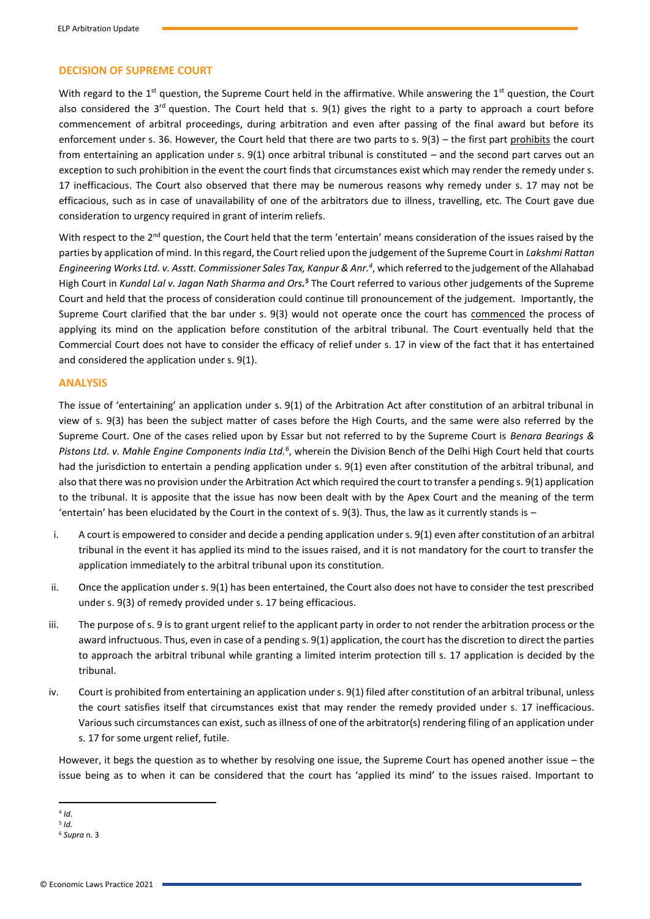#### **DECISION OF SUPREME COURT**

With regard to the 1<sup>st</sup> question, the Supreme Court held in the affirmative. While answering the 1<sup>st</sup> question, the Court also considered the  $3<sup>rd</sup>$  question. The Court held that s.  $9(1)$  gives the right to a party to approach a court before commencement of arbitral proceedings, during arbitration and even after passing of the final award but before its enforcement under s. 36. However, the Court held that there are two parts to s. 9(3) – the first part prohibits the court from entertaining an application under s. 9(1) once arbitral tribunal is constituted – and the second part carves out an exception to such prohibition in the event the court finds that circumstances exist which may render the remedy under s. 17 inefficacious. The Court also observed that there may be numerous reasons why remedy under s. 17 may not be efficacious, such as in case of unavailability of one of the arbitrators due to illness, travelling, etc. The Court gave due consideration to urgency required in grant of interim reliefs.

With respect to the 2<sup>nd</sup> question, the Court held that the term 'entertain' means consideration of the issues raised by the parties by application of mind. In this regard, the Court relied upon the judgement of the Supreme Court in *Lakshmi Rattan Engineering Works Ltd. v. Asstt. Commissioner Sales Tax, Kanpur & Anr.<sup>4</sup>* , which referred to the judgement of the Allahabad High Court in Kundal Lal v. Jagan Nath Sharma and Ors.<sup>5</sup> The Court referred to various other judgements of the Supreme Court and held that the process of consideration could continue till pronouncement of the judgement. Importantly, the Supreme Court clarified that the bar under s. 9(3) would not operate once the court has commenced the process of applying its mind on the application before constitution of the arbitral tribunal. The Court eventually held that the Commercial Court does not have to consider the efficacy of relief under s. 17 in view of the fact that it has entertained and considered the application under s. 9(1).

#### **ANALYSIS**

The issue of 'entertaining' an application under s. 9(1) of the Arbitration Act after constitution of an arbitral tribunal in view of s. 9(3) has been the subject matter of cases before the High Courts, and the same were also referred by the Supreme Court. One of the cases relied upon by Essar but not referred to by the Supreme Court is *Benara Bearings &*  Pistons Ltd. v. Mahle Engine Components India Ltd.<sup>6</sup>, wherein the Division Bench of the Delhi High Court held that courts had the jurisdiction to entertain a pending application under s. 9(1) even after constitution of the arbitral tribunal, and also that there was no provision under the Arbitration Act which required the court to transfer a pending s. 9(1) application to the tribunal. It is apposite that the issue has now been dealt with by the Apex Court and the meaning of the term 'entertain' has been elucidated by the Court in the context of s. 9(3). Thus, the law as it currently stands is –

- i. A court is empowered to consider and decide a pending application under s. 9(1) even after constitution of an arbitral tribunal in the event it has applied its mind to the issues raised, and it is not mandatory for the court to transfer the application immediately to the arbitral tribunal upon its constitution.
- ii. Once the application under s. 9(1) has been entertained, the Court also does not have to consider the test prescribed under s. 9(3) of remedy provided under s. 17 being efficacious.
- iii. The purpose of s. 9 is to grant urgent relief to the applicant party in order to not render the arbitration process or the award infructuous. Thus, even in case of a pending s. 9(1) application, the court has the discretion to direct the parties to approach the arbitral tribunal while granting a limited interim protection till s. 17 application is decided by the tribunal.
- iv. Court is prohibited from entertaining an application under s. 9(1) filed after constitution of an arbitral tribunal, unless the court satisfies itself that circumstances exist that may render the remedy provided under s. 17 inefficacious. Various such circumstances can exist, such as illness of one of the arbitrator(s) rendering filing of an application under s. 17 for some urgent relief, futile.

However, it begs the question as to whether by resolving one issue, the Supreme Court has opened another issue – the issue being as to when it can be considered that the court has 'applied its mind' to the issues raised. Important to

<sup>4</sup> *Id.*

<sup>5</sup> *Id.*

<sup>6</sup> *Supra* n. 3